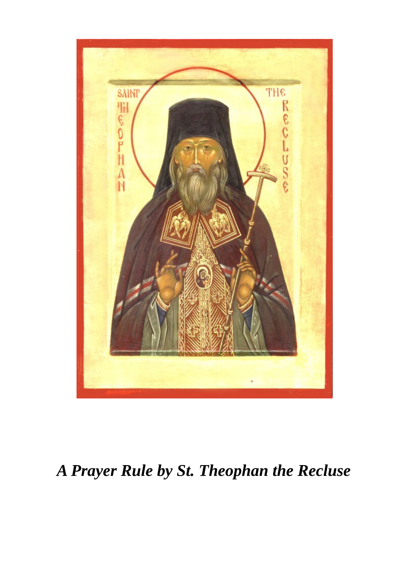

# *A Prayer Rule by St. Theophan the Recluse*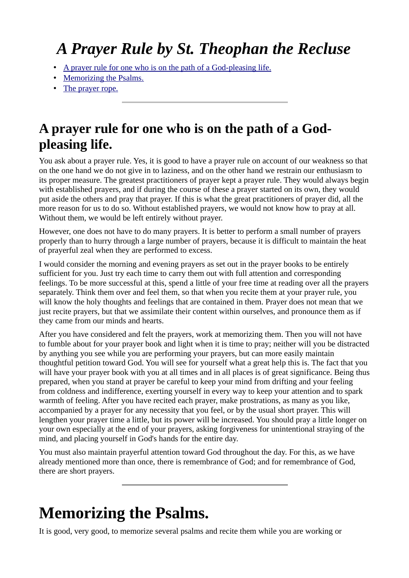## *A Prayer Rule by St. Theophan the Recluse*

- • [A prayer rule for one who is on the path of a God-pleasing life.](http://www.orthodox.net/articles/prayer-rule-theophan-the-recluse.html#l1)
- • [Memorizing the Psalms.](http://www.orthodox.net/articles/prayer-rule-theophan-the-recluse.html#l1)
- • [The prayer rope.](http://www.orthodox.net/articles/prayer-rule-theophan-the-recluse.html#l1)

#### **A prayer rule for one who is on the path of a Godpleasing life.**

You ask about a prayer rule. Yes, it is good to have a prayer rule on account of our weakness so that on the one hand we do not give in to laziness, and on the other hand we restrain our enthusiasm to its proper measure. The greatest practitioners of prayer kept a prayer rule. They would always begin with established prayers, and if during the course of these a prayer started on its own, they would put aside the others and pray that prayer. If this is what the great practitioners of prayer did, all the more reason for us to do so. Without established prayers, we would not know how to pray at all. Without them, we would be left entirely without prayer.

However, one does not have to do many prayers. It is better to perform a small number of prayers properly than to hurry through a large number of prayers, because it is difficult to maintain the heat of prayerful zeal when they are performed to excess.

I would consider the morning and evening prayers as set out in the prayer books to be entirely sufficient for you. Just try each time to carry them out with full attention and corresponding feelings. To be more successful at this, spend a little of your free time at reading over all the prayers separately. Think them over and feel them, so that when you recite them at your prayer rule, you will know the holy thoughts and feelings that are contained in them. Prayer does not mean that we just recite prayers, but that we assimilate their content within ourselves, and pronounce them as if they came from our minds and hearts.

After you have considered and felt the prayers, work at memorizing them. Then you will not have to fumble about for your prayer book and light when it is time to pray; neither will you be distracted by anything you see while you are performing your prayers, but can more easily maintain thoughtful petition toward God. You will see for yourself what a great help this is. The fact that you will have your prayer book with you at all times and in all places is of great significance. Being thus prepared, when you stand at prayer be careful to keep your mind from drifting and your feeling from coldness and indifference, exerting yourself in every way to keep your attention and to spark warmth of feeling. After you have recited each prayer, make prostrations, as many as you like, accompanied by a prayer for any necessity that you feel, or by the usual short prayer. This will lengthen your prayer time a little, but its power will be increased. You should pray a little longer on your own especially at the end of your prayers, asking forgiveness for unintentional straying of the mind, and placing yourself in God's hands for the entire day.

You must also maintain prayerful attention toward God throughout the day. For this, as we have already mentioned more than once, there is remembrance of God; and for remembrance of God, there are short prayers.

### **Memorizing the Psalms.**

It is good, very good, to memorize several psalms and recite them while you are working or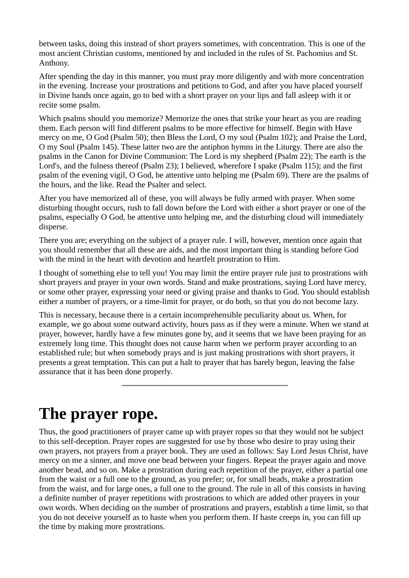between tasks, doing this instead of short prayers sometimes, with concentration. This is one of the most ancient Christian customs, mentioned by and included in the rules of St. Pachomius and St. Anthony.

After spending the day in this manner, you must pray more diligently and with more concentration in the evening. Increase your prostrations and petitions to God, and after you have placed yourself in Divine hands once again, go to bed with a short prayer on your lips and fall asleep with it or recite some psalm.

Which psalms should you memorize? Memorize the ones that strike your heart as you are reading them. Each person will find different psalms to be more effective for himself. Begin with Have mercy on me, O God (Psalm 50); then Bless the Lord, O my soul (Psalm 102); and Praise the Lord, O my Soul (Psalm 145). These latter two are the antiphon hymns in the Liturgy. There are also the psalms in the Canon for Divine Communion: The Lord is my shepherd (Psalm 22); The earth is the Lord's, and the fulness thereof (Psalm 23); I believed, wherefore I spake (Psalm 115); and the first psalm of the evening vigil, O God, be attentive unto helping me (Psalm 69). There are the psalms of the hours, and the like. Read the Psalter and select.

After you have memorized all of these, you will always be fully armed with prayer. When some disturbing thought occurs, rush to fall down before the Lord with either a short prayer or one of the psalms, especially O God, be attentive unto helping me, and the disturbing cloud will immediately disperse.

There you are; everything on the subject of a prayer rule. I will, however, mention once again that you should remember that all these are aids, and the most important thing is standing before God with the mind in the heart with devotion and heartfelt prostration to Him.

I thought of something else to tell you! You may limit the entire prayer rule just to prostrations with short prayers and prayer in your own words. Stand and make prostrations, saying Lord have mercy, or some other prayer, expressing your need or giving praise and thanks to God. You should establish either a number of prayers, or a time-limit for prayer, or do both, so that you do not become lazy.

This is necessary, because there is a certain incomprehensible peculiarity about us. When, for example, we go about some outward activity, hours pass as if they were a minute. When we stand at prayer, however, hardly have a few minutes gone by, and it seems that we have been praying for an extremely long time. This thought does not cause harm when we perform prayer according to an established rule; but when somebody prays and is just making prostrations with short prayers, it presents a great temptation. This can put a halt to prayer that has barely begun, leaving the false assurance that it has been done properly.

### **The prayer rope.**

Thus, the good practitioners of prayer came up with prayer ropes so that they would not be subject to this self-deception. Prayer ropes are suggested for use by those who desire to pray using their own prayers, not prayers from a prayer book. They are used as follows: Say Lord Jesus Christ, have mercy on me a sinner, and move one bead between your fingers. Repeat the prayer again and move another bead, and so on. Make a prostration during each repetition of the prayer, either a partial one from the waist or a full one to the ground, as you prefer; or, for small beads, make a prostration from the waist, and for large ones, a full one to the ground. The rule in all of this consists in having a definite number of prayer repetitions with prostrations to which are added other prayers in your own words. When deciding on the number of prostrations and prayers, establish a time limit, so that you do not deceive yourself as to haste when you perform them. If haste creeps in, you can fill up the time by making more prostrations.